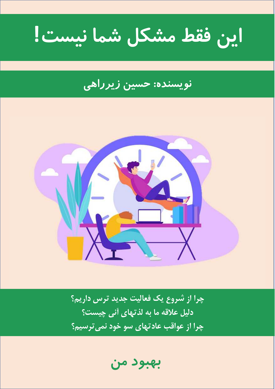این فقط مشکل شما نیست!

# <mark>نویسنده: حسین</mark> زیرراهی



چرا از شروع یک فعالیت جدید ترس داریم؟ دلیل علاقه ما به لذتهای آنی چیست؟ چرا از عواقب عادتهای سو خود نمی ترسیم؟

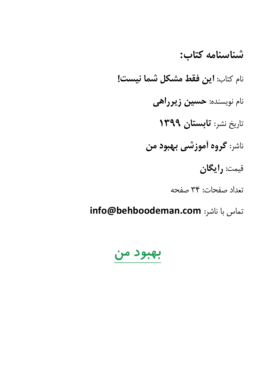شناسنامه كتاب: نام كتاب: **اين فقط مشكل شما نيست!** نام نویسنده: **حسین زیرراهی** تاريخ نشر: تابستان ١٣٩٩ ناشر: **گروه آموزشی بهبود من** قيمت: رايگان تعداد صفحات: ٣٤ صفحه

info@behboodeman.com تماس با ناشر:

# بهبود من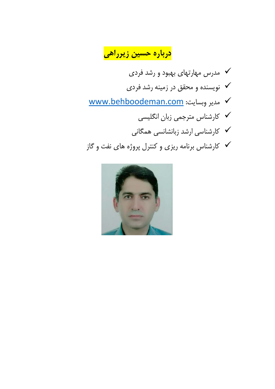<mark>درباره حسین زیرراهی</mark>

- √ مدرس مهارتهای بهبود و رشد فردی ▼ نویسنده و محقق در زمینه رشد فرد*ی* WWW.behboodeman.com مدير وبسايت: √ كارشناس مترجمي زبان انگليسي ✔ کارشناسی ارشد زبانشانسی همگانی
- √ کارشناس برنامه ریزی و کنترل پروژه های نفت و گاز

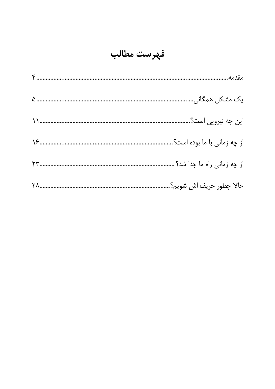# فهرست مطالب

|                  | یک مشکل همگانی               |
|------------------|------------------------------|
| $\sum_{i=1}^{n}$ | این چه نیرویی است؟           |
|                  | از چه زمانی با ما بوده است؟. |
|                  | از چه زمانی راه ما جدا شد؟ . |
|                  | حالا چطور حريف اش شويم؟.     |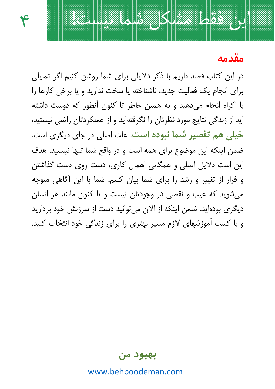مقدمه

در این کتاب قصد داریم با ذکر دلایلی برای شما روشن کنیم اگر تمایلی برای انحام یک فعالیت حدید، ناشناخته با سخت ندارید و با برخی کارها را با اکراه انجام می دهید و به همین خاطر تا کنون آنطور که دوست داشته اید از زندگی نتایج مورد نظرتان را نگرفتهاید و از عملکردتان راضی نیستید، خیلی هم تقصیر شما نبوده است. علت اصلی در جای دیگری است. ضمن اینکه این موضوع برای همه است و در واقع شما تنها نیستید. هدف این است دلایل اصلی و همگانی اهمال کاری، دست روی دست گذاشتن و فرار از تغییر و رشد را برای شما بیان کنیم. شما با این آگاهی متوجه مي شويد كه عيب و نقصي در وجودتان نيست و تا كنون مانند هر انسان دیگری بودهاید. ضمن اینکه از الان می توانید دست از سرزنش خود بردارید و با کسب آموزشهای لازم مسیر بهتری را برای زندگی خود انتخاب کنید.

ان, فقط مشکل شما نیست!

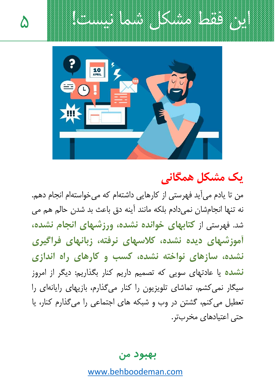ان, فقط مشكل شما نيست!



# یک مشکل همگانی

من تا یادم می آید فهرستی از کارهایی داشتهام که می خواستهام انجام دهم. نه تنها انجامشان نمي دادم بلكه مانند آينه دق باعث بد شدن حالم هم مي شد. فهرستی از کتابهای خوانده نشده، ورزشهای انجام نشده، آموزشهای دیده نشده، کلاسهای نرفته، زبانهای فراگیری نشده، سازهای نواخته نشده، کسب و کارهای راه اندازی **نشده** یا عادتهای سویی که تصمیم داریم کنار بگذاریم: دیگر از امروز سیگار نمی کشم، تماشای تلویزیون را کنار می گذارم، بازیهای رایانهای را تعطیل می کنم، گشتن در وب و شبکه های اجتماعی را می گذارم کنار، یا حتی اعتیادهای مخربتر.

بهبود من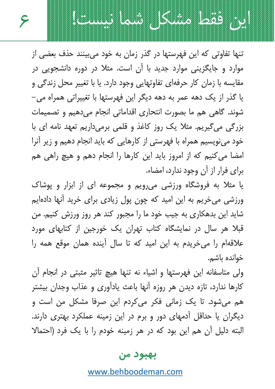تنها تفاوتی که این فهرستها در گذر زمان به خود می بینند حذف بعضی از موارد و جایگزینی موارد جدید با آن است. مثلا در دوره دانشجویی در مقايسه با زمان كار حرفهاي تفاوتهايي وجود دارد. يا با تغيير محل زندگي و یا گذر از یک دهه عمر به دهه دیگر این فهرستها با تغییراتی همراه می– شوند. گاهی هم ما بصورت انتحاری اقداماتی انجام می دهیم و تصمیمات بزرگی می گیریم. مثلا یک روز کاغذ و قلمی برمی(اریم تعهد نامه ای با خود می نویسیم همراه با فهرستی از کارهایی که باید انجام دهیم و زیر آنرا امضا می کنیم که از امروز باید این کارها را انجام دهم و هیچ راهی هم برای فرار از آن وجود ندارد، امضاء.

۶

ابن فقط مشكل شما نيست!

یا مثلا به فروشگاه ورزشی می رویم و مجموعه ای از ابزار و پوشاک ورزشی می خریم به این امید که چون پول زیادی برای خرید آنها دادهایم شاید این بدهکاری به جیب خود ما را مجبور کند هر روز ورزش کنیم. من قبلا هر سال در نمایشگاه کتاب تهران یک خورجین از کتابهای مورد علاقهام را می خریدم به این امید که تا سال آینده همان موقع همه را خوانده ىاشم.

ولی متاسفانه این فهرستها و اشیاء نه تنها هیچ تاثیر مثبتی در انجام آن کارها ندارد، تازه دیدن هر روزه آنها باعث یادآوری و عذاب وجدان بیشتر هم میشود. تا یک زمانی فکر میکردم این صرفا مشکل من است و دیگران یا حداقل آدمهای دور و برم در این زمینه عملکرد بهتری دارند. البته دلیل آن هم این بود که در هر زمینه خودم را با یک فرد (احتمالا

#### بهبود من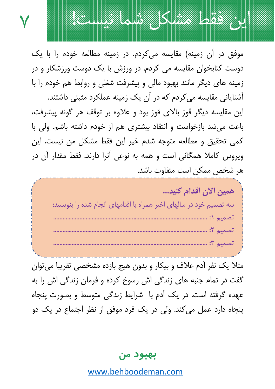

مثلا یک نفر آدم علاف و بیکار و بدون هیچ بازده مشخصی تقریبا میتوان گفت در تمام جنبه های زندگی اش رسوخ کرده و فرمان زندگی اش را به عهده گرفته است. در یک آدم با شرایط زندگی متوسط و بصورت پنجاه پنجاه دارد عمل می کند. ولی در یک فرد موفق از نظر اجتماع در یک دو

بهبود من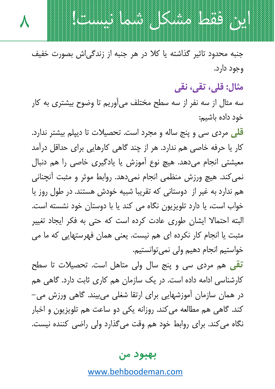جنبه محدود تاثیر گذاشته یا کلا در هر جنبه از زندگی اش بصورت خفیف وجود دارد.

 $\boldsymbol{\lambda}$ 

ابن فقط مشکل شما نیست!

مثال: قلي، تقي، نقي

سه مثال از سه نفر از سه سطح مختلف می آوریم تا وضوح بیشتری به کار خود داده باشیم:

<mark>قل</mark>ی مردی سی و پنج ساله و مجرد است. تحصیلات تا دیپلم بیشتر ندارد. کار یا حرفه خاصی هم ندارد. هر از چند گاهی کارهایی برای حداقل درآمد معیشتی انجام میدهد. هیچ نوع آموزش یا یادگیری خاصی را هم دنبال نمی کند. هیچ ورزش منظمی انجام نمی دهد. روابط موثر و مثبت آنچنانی هم ندارد به غیر از دوستانی که تقریبا شبیه خودش هستند. در طول روز یا خواب است، یا دارد تلویزیون نگاه می کند یا با دوستان خود نشسته است. البته احتمالا ایشان طوری عادت کرده است که حتی به فکر ایجاد تغییر مثبت یا انجام کار نکرده ای هم نیست. یعنی همان فهرستهایی که ما می خواستیم انجام دهیم ولی نمی توانستیم.

<mark>تقی</mark> هم مردی سی و پنج سال ولی متاهل است. تحصیلات تا سطح کارشناسی ادامه داده است. در یک سازمان هم کاری ثابت دارد. گاهی هم در همان سازمان اُموزشهایی برای ارتقا شغلی می بیند. گاهی ورزش می– کند. گاهی هم مطالعه میکند. روزانه یکی دو ساعت هم تلویزیون و اخبار نگاه می کند. برای روابط خود هم وقت می گذارد ولی راضی کننده نیست.

#### بهبود من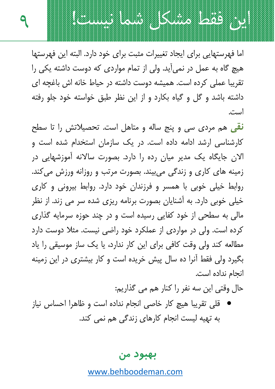اما فهرستهایی برای ایجاد تغییرات مثبت برای خود دارد. البته این فهرستها هیچ گاه به عمل در نمی آید. ولی از تمام مواردی که دوست داشته یکی را تقریبا عملی کرده است. همیشه دوست داشته در حیاط خانه اش باغچه ای داشته باشد و گل و گیاه بکارد و از این نظر طبق خواسته خود جلو رفته است.

ابن فقط مشكل شما نيست!

نقی هم مردی سی و پنج ساله و متاهل است. تحصیلاتش را تا سطح کارشناسی ارشد ادامه داده است. در یک سازمان استخدام شده است و الان جایگاه یک مدیر میان رده را دارد. بصورت سالانه آموزشهایی در زمینه های کاری و زندگی می بیند. بصورت مرتب و روزانه ورزش می کند. روابط خیلی خوبی با همسر و فرزندان خود دارد. روابط بیرونی و کاری خیلی خوبی دارد. به آشنایان بصورت برنامه ریزی شده سر می زند. از نظر مالي به سطحي از خود کفايي رسيده است و در چند حوزه سرمايه گذاري کرده است. ولی در مواردی از عملکرد خود راضی نیست. مثلا دوست دارد مطالعه کند ولی وقت کافی برای این کار ندارد، یا یک ساز موسیقی را یاد بگیرد ولی فقط آنرا ده سال پیش خریده است و کار بیشتری در این زمینه انحام نداده است.

حال وقتی این سه نفر را کنار هم می گذاریم:

قلي تقريبا هيچ كار خاصي انجام نداده است و ظاهرا احساس نياز به تهیه لیست انجام کارهای زندگی هم نمی کند.

بهبود من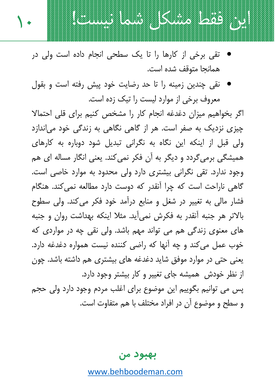

ابن فقط مشكل شما نيست!

نقی چندین زمینه را تا حد رضایت خود پیش رفته است و بقول معروف برخی از موارد لیست را تیک زده است.

اگر بخواهیم میزان دغدغه انجام کار را مشخص کنیم برای قلی احتمالا چیزی نزدیک به صفر است. هر از گاهی نگاهی به زندگی خود می|ندازد ولی قبل از اینکه این نگاه به نگرانی تبدیل شود دوباره به کارهای همیشگی برمی گردد و دیگر به آن فکر نمی کند. یعنی انگار مساله ای هم وجود ندارد. تقی نگرانی بیشتری دارد ولی محدود به موارد خاصی است. گاهی ناراحت است که چرا آنقدر که دوست دارد مطالعه نمی کند. هنگام فشار مالی به تغییر در شغل و منابع درآمد خود فکر می کند. ولی سطوح بالاتر هر جنبه أنقدر به فكرش نمي أيد. مثلا اينكه بهداشت روان و جنبه های معنوی زندگی هم می تواند مهم باشد. ولی نقی چه در مواردی که خوب عمل می کند و چه آنها که راضی کننده نیست همواره دغدغه دارد. یعنی حتی در موارد موفق شاید دغدغه های بیشتری هم داشته باشد. چون از نظر خودش ِ همیشه جای تغییر و کار بیشتر وجود دارد. پس می توانیم بگوییم این موضوع برای اغلب مردم وجود دارد ولی حجم و سطح و موضوع آن در افراد مختلف با هم متفاوت است.

بهبود من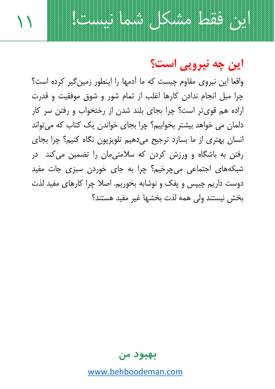

ابن فقط مشكل شما نيست!

واقعا این نیروی مقاوم چیست که ما آدمها را اینطور زمین گیر کرده است؟ چرا ميل انجام ندادن كارها اغلب از تمام شور و شوق موفقيت و قدرت اراده هم قوی تر است؟ چرا بجای بلند شدن از رختخواب و رفتن سر کار دلمان می خواهد بیشتر بخوابیم؟ چرا بجای خواندن یک کتاب که می تواند انسان بھتری از ما بسازد ترجیح می دھیم تلویزیون نگاہ کنیم؟ چرا بجای رفتن به باشگاه و ورزش کردن که سلامتی،مان را تضمین می کند ِ در شبکههای اجتماعی می<u> چرخیم؟ چرا به جای خور</u>دن سبزی جات مفید دوست داریم چیپس و یفک و نوشابه بخوریم. اصلا چرا کارهای مفید لذت بخش نيستند ولى همه لذت بخشها غير مفيد هستند؟

بهبود من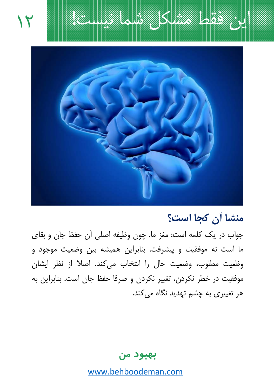



منشا أن كجا است؟

جواب در یک کلمه است: مغز ما. چون وظیفه اصلی آن حفظ جان و بقای ما است نه موفقیت و پیشرفت. بنابراین همیشه بین وضعیت موجود و وظعيت مطلوب، وضعيت حال را انتخاب مي كند. اصلا از نظر ايشان موفقيت در خطر نكردن، تغيير نكردن و صرفا حفظ جان است. بنابراين به هر تغییری به چشم تهدید نگاه می کند.

بهبود من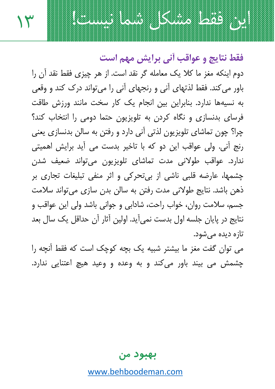فقط نتايج و عواقب أني برايش مهم است

ابن فقط مشكل شما نيست!

۱۳

دوم اینکه مغز ما کلا یک معامله گر نقد است. از هر چیزی فقط نقد آن را باور می کند. فقط لذتهای آنی و رنجهای آنی را می تواند درک کند و وقعی به نسیهها ندارد. بنابراین بین انجام یک کار سخت مانند ورزش طاقت فرسای بدنسازی و نگاه کردن به تلویزیون حتما دومی را انتخاب کند؟ چرا؟ چون تماشای تلویزیون لذتی آنی دارد و رفتن به سالن بدنسازی یعنی رنج اّني. ولي عواقب اين دو كه با تاخير بدست مي آيد برايش اهميتي ندارد. عواقب طولاني مدت تماشاي تلويزيون ميتواند ضعيف شدن چشمها، عارضه قلبی ناشی از بی تحرکی و اثر منفی تبلیغات تجاری بر ذهن باشد. نتایج طولانی مدت رفتن به سالن بدن سازی می تواند سلامت جسم، سلامت روان، خواب راحت، شادابی و جوانی باشد ولی این عواقب و نتايج در پايان جلسه اول بدست نمي اَيد. اولين آثار آن حداقل يک سال بعد تازہ دیدہ مے شود.

می توان گفت مغز ما بیشتر شبیه یک بچه کوچک است که فقط آنچه را چشمش می بیند باور می کند و به وعده و وعید هیچ اعتنایی ندارد.

بهبود من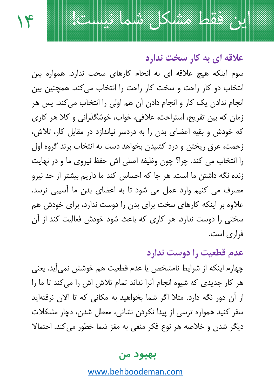علاقه ای به کار سخت ندارد

این فقط مشکل شما نیست!

١۴

سوم اینکه هیچ علاقه ای به انجام کارهای سخت ندارد. همواره بین انتخاب دو کار راحت و سخت کار راحت را انتخاب می کند. همچنین بین انجام ندادن یک کار و انجام دادن آن هم اولی را انتخاب می کند. پس هر زمان که بین تفریح، استراحت، علافی، خواب، خوشگذرانی و کلا هر کاری که خودش و بقیه اعضای بدن را به دردسر نیاندازد در مقابل کار، تلاش، زحمت، عرق ریختن و درد کشیدن بخواهد دست به انتخاب بزند گروه اول را انتخاب می کند. چرا؟ چون وظیفه اصلی اش حفظ نیروی ما و در نهایت زنده نگه داشتن ما است. هر جا که احساس کند ما داریم بیشتر از حد نیرو مصرف می کنیم وارد عمل می شود تا به اعضای بدن ما آسیبی نرسد. علاوه بر اینکه کارهای سخت برای بدن را دوست ندارد، برای خودش هم سختی را دوست ندارد. هر کاری که باعث شود خودش فعالیت کند از آن فراری است.

عدم قطعیت را دوست ندارد چهارم اینکه از شرایط نامشخص یا عدم قطعیت هم خوشش نمی آید. یعنی هر کار جدیدی که شیوه انجام آنرا نداند تمام تلاش اش را می کند تا ما را از آن دور نگه دارد. مثلا اگر شما بخواهید به مکانی که تا الان نرفتهاید سفر کنید همواره ترسی از پیدا نکردن نشانی، معطل شدن، دچار مشکلات دیگر شدن و خلاصه هر نوع فکر منفی به مغز شما خطور می کند. احتمالا

#### بهبود من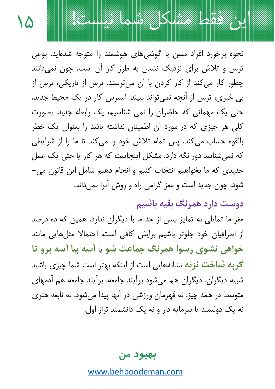

١۵

نحوه برخورد افراد مسن با گوشے های هوشمند را متوجه شدهاید. نوعی ترس و تلاش برای نزدیک نشدن به طرز کار آن است. چون نمیدانند چطور کار می کند از کار کردن با آن می ترسند. ترس از تاریکی، ترس از بی خبری، ترس از آنچه نمی تواند ببیند. استرس کار در یک محیط جدید، حتی یک مهمانی که حاضران را نمی شناسیم، یک رابطه جدید. بصورت کلی هر چیزی که در مورد آن اطمینان نداشته باشد را بعنوان یک خطر بالقوه حساب می کند. پس تمام تلاش خود را می کند تا ما را از شرایطی که نمی شناسد دور نگه دارد. مشکل اینجاست که هر کار یا حتی یک عمل جدیدی که ما بخواهیم انتخاب کنیم و انجام دهیم شامل این قانون می– شود. چون جدید است و مغز گرامی راه و روش آنرا نمیداند.

دوست دارد همرنگ بقیه باشیم

مغز ما تمایلی به تمایز بیش از حد ما با دیگران ندارد. همین که ده درصد از اطرافیان خود جلوتر باشیم برایش کافی است. احتمالا مثلهایی مانند خواهي نشوي رسوا همرنگ جماعت شو يا آسه بيا آسه برو تا گربه ش**اخت نزنه** نشانههایی است از اینکه بهتر است شما چیزی باشید شبیه دیگران. دیگران هم می شود برآیند جامعه. برآیند جامعه هم آدمهای متوسط در همه چیز. نه قهرمان ورزشی در آنها پیدا میشود. نه نابغه هنری نه یک دولتمند یا سرمایه دار و نه یک دانشمند تراز اول.

بهبود من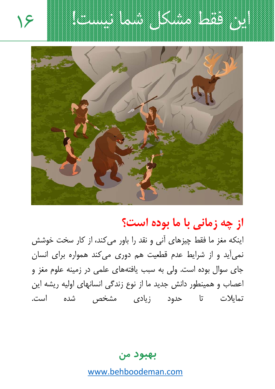ابن فقط مشكل شما نيست!





# از چه زمانی با ما بوده است؟

اینکه مغز ما فقط چیزهای آنی و نقد را باور می کند، از کار سخت خوشش نمی آید و از شرایط عدم قطعیت هم دوری می کند همواره برای انسان جای سوال بوده است. ولی به سبب یافتههای علمی در زمینه علوم مغز و اعصاب و همینطور دانش جدید ما از نوع زندگی انسانهای اولیه ریشه این تمایلات تا حدود زیادی مشخص شده است.

بهبود من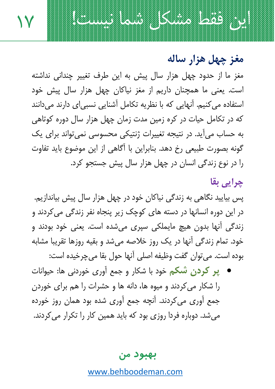مغز چهل هزار ساله

مغز ما از حدود چهل هزار سال پیش به این طرف تغییر چندانی نداشته است. یعنی ما همچنان داریم از مغز نیاکان چهل هزار سال پیش خود استفاده می کنیم. آنهایی که با نظریه تکامل آشنایی نسبی ای دارند می دانند که در تکامل حیات در کره زمین مدت زمان چهل هزار سال دوره کوتاهی به حساب می آید. در نتیجه تغییرات ژنتیکی محسوسی نمی تواند برای یک گونه بصورت طبیعی رخ دهد. بنابراین با اَگاهی از این موضوع باید تفاوت را در نوع زندگی انسان در چهل هزار سال پیش جستجو کرد.

١V

این فقط مشکل شما نیست!

### چراپي بقا

پس بیایید نگاهی به زندگی نیاکان خود در چهل هزار سال پیش بیاندازیم. در این دوره انسانها در دسته های کوچک زیر پنجاه نفر زندگی می کردند و زندگی اُنھا بدون ھیچ مایملکی سپری میشدہ است. یعنی خود بودند و خود. تمام زندگی آنها در یک روز خلاصه میشد و بقیه روزها تقریبا مشابه بوده است. مي¤وان گفت وظيفه اصلي أنها حول بقا ميچرخيده است:

● پر کردن شکم خود با شکار و جمع آوری خوردنی ها: حیوانات را شکار می کردند و میوه ها، دانه ها و حشرات را هم برای خوردن جمع آوري مي كردند. آنچه جمع آوري شده بود همان روز خورده میشد. دوباره فردا روزی بود که باید همین کار را تکرار میکردند.

بهبود من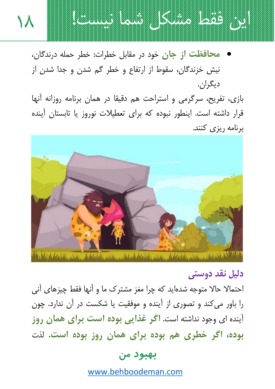

محافظت از جان خود در مقابل خطرات: خطر حمله درندگان، نیش خزندگان، سقوط از ارتفاع و خطر گم شدن و جدا شدن از دیگران.

۱Л

بازی، تفریح، سرگرمی و استراحت هم دقیقا در همان برنامه روزانه آنها قرار داشته است. اینطور نبوده که برای تعطیلات نوروز یا تابستان آینده برنامه ریزی کنند.



## دلىل نقد دوستى

احتمالا حالا متوجه شدهاید که چرا مغز مشترک ما و آنها فقط چیزهای آنی را باور می کند و تصوری از آینده و موفقیت یا شکست در آن ندارد. چون آینده ای وجود نداشته است. اگر **غذای**ی بو**ده است برای همان روز** بوده، اگر خطری هم بوده برای همان روز بوده است. لذت

#### بهبود من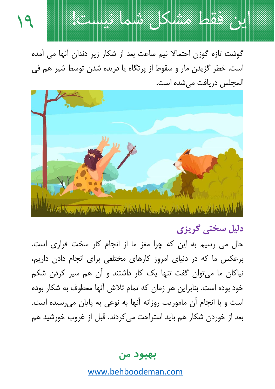

19

گوشت تازہ گوزن احتمالا نیم ساعت بعد از شکار زیر دندان آنها می آمدہ است. خطر گزیدن مار و سقوط از پرتگاه یا دریده شدن توسط شیر هم فی المجلس دريافت مي شده است.



دلیل سختی گریزی

حال می رسیم به این که چرا مغز ما از انجام کار سخت فراری است. برعکس ما که در دنیای امروز کارهای مختلفی برای انجام دادن داریم، نیاکان ما می توان گفت تنها یک کار داشتند و اَن هم سیر کردن شکم خود بوده است. بنابراین هر زمان که تمام تلاش آنها معطوف به شکار بوده است و با انجام آن ماموریت روزانه آنها به نوعی به پایان می رسیده است. بعد از خوردن شکار هم باید استراحت می کردند. قبل از غروب خورشید هم

بهبود من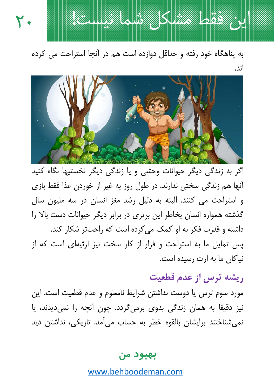به پناهگاه خود رفته و حداقل دوازده است هم در آنجا استراحت می کرده اند.

٢.

این فقط مشکل شما نیست!



اگر به زندگی دیگر حیوانات وحشی و یا زندگی دیگر نخستیها نگاه کنید أنها هم زندگی سختی ندارند. در طول روز به غیر از خوردن غذا فقط بازی و استراحت می کنند. البته به دلیل رشد مغز انسان در سه ملیون سال گذشته همواره انسان بخاطر این برتری در برابر دیگر حیوانات دست بالا را داشته و قدرت فکر به او کمک می کرده است که راحتتر شکار کند. یس تمایل ما به استراحت و فرار از کار سخت نیز ارثیهای است که از نیاکان ما به ارث رسیده است.

ریشه ترس از عدم قطعیت

مورد سوم ترس یا دوست نداشتن شرایط نامعلوم و عدم قطعیت است. این نیز دقیقا به همان زندگی بدوی برمیگردد. چون آنچه را نمیدیدند، یا نمي شناختند برايشان بالقوه خطر به حساب مي آمد. تاريكي، نداشتن ديد

#### بهبود من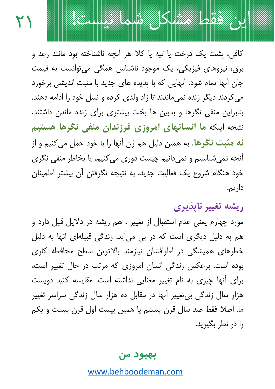۲۱

کافی، پشت یک درخت یا تیه یا کلا هر آنچه ناشناخته بود مانند رعد و برق، نيروهاي فيزيکي، يک موجود ناشناس همگي مي توانست به قيمت جان آنها تمام شود. آنهایی که با پدیده های جدید با مثبت اندیشی برخورد می کردند دیگر زنده نمیماندند تا زاد ولدی کرده و نسل خود را ادامه دهند. بنابراین منفی نگرها و بدبین ها بخت بیشتری برای زنده ماندن داشتند. نتيجه اينكه ما انسانهاي امروزي فرزندان منفي نگرها هستيم نه مثبت نگرها. به همین دلیل هم ژن آنها را با خود حمل می *ک*نیم و از آنجه نمي شناسيم و نمي دانيم چيست دوري مي كنيم. يا بخاظر منفي نگري خود هنگام شروع یک فعالیت جدید، به نتیجه نگرفتن آن بیشتر اطمینان داريۍ.

این فقط مشکل شما نیست!

ريشه تغيير نايذيري

مورد چهارم یعنی عدم استقبال از تغییر ، هم ریشه در دلایل قبل دارد و هم به دلیل دیگری است که در پی میآید. زندگی قبیلهای آنها به دلیل خطرهای همیشگی در اطرافشان نیازمند بالاترین سطح محافظه کاری بوده است. برعکس زندگی انسان امروزی که مرتب در حال تغییر است، برای آنها چیزی به نام تغییر معنایی نداشته است. مقایسه کنید دویست هزار سال زندگی بی تغییر آنها در مقابل ده هزار سال زندگی سراسر تغییر ما. اصلا فقط صد سال قرن بیستم یا همین بیست اول قرن بیست و یکم را در نظر بگیرید.

#### بهبود من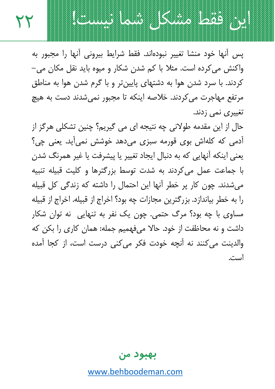ابن فقط مشكل شما نيست!

یس اّنها خود منشا تغییر نبودهاند. فقط شرایط پیرونی اّنها را مجبور به واکنش می کردہ است. مثلا با کم شدن شکار و میوہ باید نقل مکان می– کردند. با سرد شدن هوا به دشتهای پایین تر و با گرم شدن هوا به مناطق مرتفع مهاجرت می کردند. خلاصه اینکه تا مجبور نمیشدند دست به هیچ تغییری نمی زدند.

۲۲

حال از این مقدمه طولانی چه نتیجه ای می گیریم؟ چنین تشکلی هرگز از آدمی که کلهاش بوی قورمه سبزی میدهد خوشش نمی آید. یعنی چی؟ يعني اينكه آنهايي كه به دنبال ايجاد تغيير يا پيشرفت يا غير همرنگ شدن با جماعت عمل می کردند به شدت توسط بزرگترها و کلیت قبیله تنبیه می شدند. چون کار پر خطر آنها این احتمال را داشته که زندگی کل قبیله را به خطر بیاندازد. بزرگترین مجازات چه بود؟ اخراج از قبیله. اخراج از قبیله مساوي با چه بود؟ مرگ حتمي. چون يک نفر به تنهايي ٍ نه توان شکار داشت و نه محاظفت از خود. حالا می فهمیم جمله: همان کاری را بکن که والدینت مے کنند نه آنچه خودت فکر می کنی درست است، از کجا آمده است.

بهبود من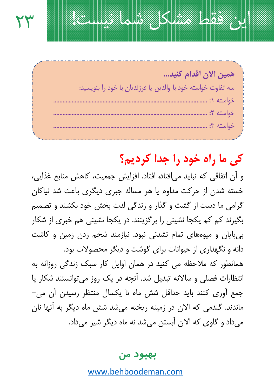همين الآن اقدام كنيد... سه تفاوت خواسته خود با والدين يا فرزندتان با خود را پنويسيد: 

٢٣

ابن فقط مشكل شما نيست!

# کی ما راه خود را جدا کردیم؟

و أن اتفاقى كه نبايد مىافتاد، افتاد. افزايش جمعيت، كاهش منابع غذايى، خسته شدن از حرکت مداوم یا هر مساله جبری دیگری باعث شد نیاکان گرامی ما دست از گشت و گذار و زندگی لذت بخش خود بکشند و تصمیم بگیرند کم کم یکجا نشینی را برگزینند. در یکجا نشینی هم خبری از شکار بی پایان و میوههای تمام نشدنی نبود. نیازمند شخم زدن زمین و کاشت دانه و نگهداری از حیوانات برای گوشت و دیگر محصولات بود. همانطور که ملاحظه می کنید در همان اوایل کار سبک زندگی روزانه به انتظارات فصلی و سالانه تبدیل شد. آنچه در یک روز می توانستند شکار یا جمع آوري کنند بايد حداقل شش ماه تا يکسال منتظر رسيدن آن مي– ماندند. گندمی که الان در زمینه ریخته میشد شش ماه دیگر به آنها نان مي داد و گاوي كه الان اَبستن مي شد نه ماه ديگر شير مي داد.

بهبود من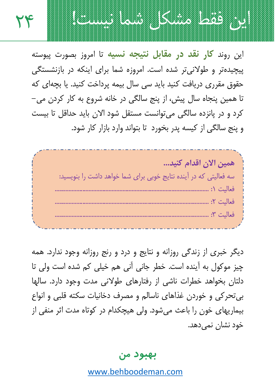TF

این روند **کار نقد در مقابل نتیجه نسیه** تا امروز بصورت پیوسته ییچیدهتر و طولانی تر شده است. امروزه شما برای اینکه در بازنشستگی حقوق مقرری دریافت کنید باید سی سال بیمه پرداخت کنید. یا بچهای که تا همین پنجاه سال پیش، از پنج سالگی در خانه شروع به کار کردن می – كرد و در يانزده سالگي مي توانست مستقل شود الان بايد حداقل تا بيست و پنج سالگی از کیسه پدر بخورد تا بتواند وارد بازار کار شود.

ابن فقط مشكل شما نيست!

همين الآن اقدام كنيد... سه فعالیتی که در آینده نتایج خوبی برای شما خواهد داشت را بنویسید: 

دیگر خبری از زندگی روزانه و نتایج و درد و رنج روزانه وجود ندارد. همه چیز موکول به آینده است. خطر جانی آنی هم خیلی کم شده است ولی تا دلتان بخواهد خطرات ناشی از رفتارهای طولانی مدت وجود دارد. سالها بي تحركي و خوردن غذاهاي ناسالم و مصرف دخانيات سكته قلبي و انواع بیماریهای خون را باعث می شود. ولی هیچکدام در کوتاه مدت اثر منفی از خود نشان نمی دهد.

بهبود من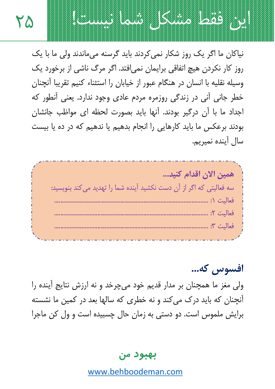

نیاکان ما اگر یک روز شکار نمی کردند باید گرسنه می ماندند ولی ما با یک روز کار نکردن هیچ اتفاقی برایمان نمی|فتد. اگر مرگ ناشی از برخورد یک وسيله نقليه با انسان در هنگام عبور از خيابان را استثناء كنيم تقريبا آنچنان خطر جاني اُني در زندگي روزمره مردم عادي وجود ندارد. يعني اُنطور که اجداد ما با آن درگیر بودند. آنها باید بصورت لحظه ای مواظب جانشان بودند برعکس ما باید کارهایی را انجام بدهیم با ندهیم که در ده با بیست سال آینده نمیریم.

۲۵



افسوس كه... ولی مغز ما همچنان بر مدار قدیم خود میچرخد و نه ارزش نتایج آینده را آنچنان که باید درک می کند و نه خطری که سالها بعد در کمین ما نشسته برايش ملموس است. دو دستي به زمان حال چسبيده است و ول كن ماجرا

بهبود من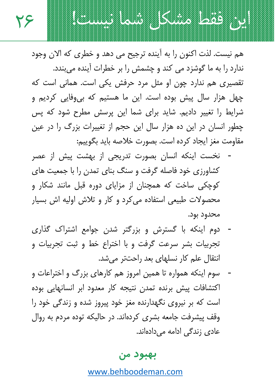هم نيست. لذت اکنون را به آينده ترجيح مي دهد و خطري که الان وجود ندارد را به ما گوشزد می کند و چشمش را بر خطرات آینده میبندد. تقصیری هم ندارد چون او مثل مرد حرفش یکی است. همانی است که چھل ھزار سال پیش بودہ است. این ما ھستیم که بی,وفایی کردیم و شرایط را تغییر دادیم. شاید برای شما این پرسش مطرح شود که پس چطور انسان در این ده هزار سال این حجم از تغییرات بزرگ را در عین مقاومت مغز ايجاد كرده است. بصورت خلاصه بايد بگوييم:

۲۶

این فقط مشکل شما نیست!

- نخست اینکه انسان بصورت تدریجی از بهشت پیش از عصر کشاورزی خود فاصله گرفت و سنگ بنای تمدن را با جمعیت های کوچکی ساخت که همچنان از مزایای دوره قبل مانند شکار و محصولات طبیعی استفاده می کرد و کار و تلاش اولیه اش بسیار محدود بود.
- دوم اینکه با گسترش و بزرگتر شدن جوامع اشتراک گذاری تجربیات بشر سرعت گرفت و با اختراع خط و ثبت تجربیات و انتقال علم کار نسلهای بعد راحتتر می شد.
- سوم اینکه همواره تا همین امروز هم کارهای بزرگ و اختراعات و اکتشافات پیش برنده تمدن نتیجه کار معدود ابر انسانهایی بوده است که بر نیروی نگهدارنده مغز خود پیروز شده و زندگی خود را وقف پیشرفت جامعه بشری کردهاند. در حالیکه توده مردم به روال عادی زندگی ادامه میدادهاند.

بهبود من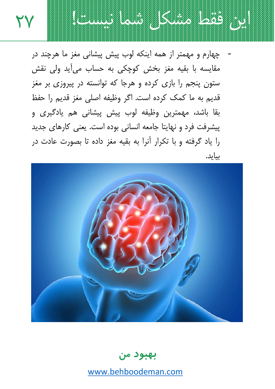

چهارم و مهمتر از همه اینکه لوب پیش پیشانی مغز ما هرچند در مقايسه با بقيه مغز بخش كوچكي به حساب ميأيد ولي نقش ستون پنجم را بازی کرده و هرجا که توانسته در پیروزی بر مغز قديم به ما كمک کرده است. اگر وظيفه اصلي مغز قديم را حفظ بقا باشد، مهمترین وظیفه لوب پیش پیشانی هم یادگیری و پیشرفت فرد و نهایتا جامعه انسانی بوده است. یعنی کارهای جدید را یاد گرفته و با تکرار آنرا به بقیه مغز داده تا بصورت عادت در بيايد.



بهبود من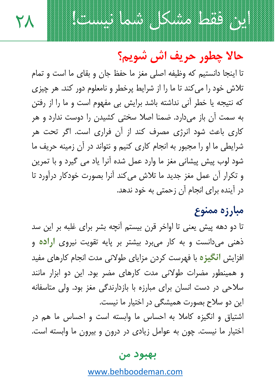# این فقط مشکل شما نیست!

۲λ

حالا چطور حريف اش شويم؟

تا اينجا دانستيم كه وظيفه اصلى مغز ما حفظ جان و بقاي ما است و تمام تلاش خود را می کند تا ما را از شرایط پرخطر و نامعلوم دور کند. هر چیزی که نتیجه یا خطر آنی نداشته باشد برایش بی مفهوم است و ما را از رفتن به سمت آن باز میدارد. ضمنا اصلا سختی کشیدن را دوست ندارد و هر کاری باعث شود انرژی مصرف کند از آن فراری است. اگر تحت هر شرایطی ما او را مجبور به انجام کاری کنیم و نتواند در آن زمینه حریف ما شود لوب پیش پیشانی مغز ما وارد عمل شده آنرا یاد می گیرد و با تمرین و تكرار أن عمل مغز جديد ما تلاش مى كند آنرا بصورت خودكار درآورد تا در آینده برای انجام آن زحمتی به خود ندهد.

## مبارزه ممنوع

تا دو دهه پیش یعنی تا اواخر قرن بیستم آنچه بشر برای غلبه بر این سد ذهني مي دانست و به كار مي برد بيشتر بر پايه تقويت نيروي ار**اده** و افزایش **انگیز**ه با فهرست کردن مزایای طولانی مدت انجام کارهای مفید و همینطور مضرات طولانی مدت کارهای مضر بود. این دو ابزار مانند سلاحی در دست انسان برای مبارزه با بازدارندگی مغز بود. ولی متاسفانه این دو سلاح بصورت همیشگی در اختیار ما نیست. اشتیاق و انگیزه کاملا به احساس ما وابسته است و احساس ما هم در

اختیار ما نیست. چون به عوامل زیادی در درون و بیرون ما وابسته است.

#### بهبود من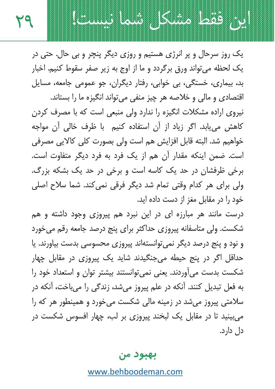این فقط مشکل شما نیست!

٢٩

یک روز سرحال و پر انرژی هستیم و روزی دیگر پنچر و بی حال. حتی در یک لحظه می تواند ورق برگردد و ما از اوج به زیر صفر سقوط کنیم. اخبار بد، بیماری، خستگی، بی خوابی، رفتار دیگران، جو عمومی جامعه، مسایل

اقتصادی و مالی و خلاصه هر چیز منفی می تواند انگیزه ما را بستاند. نیروی اراده مشکلات انگیزه را ندارد ولی منبعی است که با مصرف کردن کاهش می یابد. اگر زیاد از آن استفاده کنیم با ظرف خالی آن مواجه خواهيم شد. البته قابل افزايش هم است ولي بصورت كلي كالايي مصرفي است. ضمن اینکه مقدار آن هم از یک فرد به فرد دیگر متفاوت است. برخی ظرفشان در حد یک کاسه است و برخی در حد یک بشکه بزرگ. ولي براي هر كدام وقتي تمام شد ديگر فرقي نمي كند. شما سلاح اصلي خود را در مقابل مغز از دست داده اید.

درست مانند هر مبارزه ای در این نبرد هم پیروزی وجود داشته و هم شکست. ولی متاسفانه پیروزی حداکثر برای پنج درصد جامعه رقم میخورد و نود و پنج درصد دیگر نمی توانستهاند پیروزی محسوسی بدست بیاورند. یا حداقل اگر در پنج حیطه می جنگیدند شاید یک پیروزی در مقابل چهار شکست بدست می آوردند. یعنی نمی توانستند بیشتر توان و استعداد خود را به فعل تبدیل کنند. آنکه در علم پیروز میشد، زندگی را میباخت، آنکه در سلامتی پیروز می شد در زمینه مالی شکست می خورد و همینطور هر که را میبینید تا در مقابل یک لبخند پیروزی بر لب، چهار افسوس شکست در دل دارد.

#### بهبود من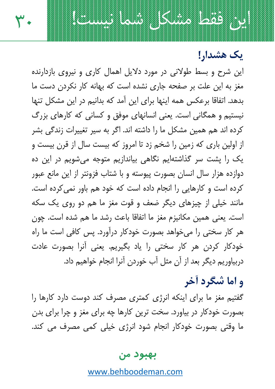یک هشدار!

این شرح و بسط طولانی در مورد دلایل اهمال کاری و نیروی بازدارنده مغز به این علت بر صفحه جاری نشده است که بهانه کار نکردن دست ما بدهد. اتفاقا برعکس همه اینها برای این آمد که بدانیم در این مشکل تنها نیستیم و همگانی است. یعنی انسانهای موفق و کسانی که کارهای بزرگ کرده اند هم همین مشکل ما را داشته اند. اگر به سیر تغییرات زندگی بشر از اولین باری که زمین را شخم زد تا امروز که بیست سال از قرن بیست و یک را پشت سر گذاشتهایم نگاهی بیاندازیم متوجه میشویم در این ده دوازده هزار سال انسان بصورت پیوسته و با شتاب فزونتر از این مانع عبور کرده است و کارهایی را انجام داده است که خود هم باور نمی کرده است. مانند خیلی از چیزهای دیگر ضعف و قوت مغز ما هم دو روی یک سکه است. يعني همين مكانيزم مغز ما اتفاقا باعث رشد ما هم شده است. چون هر کار سختی را می خواهد بصورت خودکار درآورد. پس کافی است ما راه خودکار کردن هر کار سختی را یاد بگیریم. یعنی آنرا بصورت عادت دربیاوریم دیگر بعد از آن مثل آب خوردن آنرا انجام خواهیم داد.

ابن فقط مشکل شما نیست!

۳۰

## و اما شگرد أخر

گفتیم مغز ما برای اینکه انرژی کمتری مصرف کند دوست دارد کارها را بصورت خودکار در بیاورد. سخت ترین کارها چه برای مغز و چرا برای بدن ما وقتی بصورت خودکار انجام شود انرژی خیلی کمی مصرف می کند.

#### بهبود من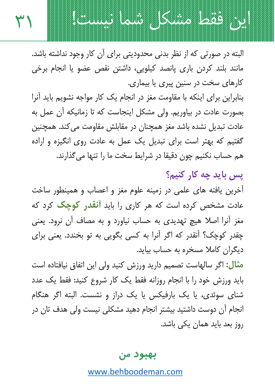البته در صورتی که از نظر بدنی محدودیتی برای آن کار وجود نداشته باشد. مانند بلند کردن باری پانصد کیلویی، داشتن نقص عضو یا انجام برخی کارهای سخت در سنین پیری یا بیماری.

٣١

ابن فقط مشكل شما نيست!

بنابراین برای اینکه با مقاومت مغز در انجام یک کار مواجه نشویم باید آنرا بصورت عادت در بیاوریم. ولی مشکل اینجاست که تا زمانیکه آن عمل به عادت تبدیل نشده باشد مغز همچنان در مقابلش مقاومت می کند. همچنین گفتیم که بهتر است برای تبدیل یک عمل به عادت روی انگیزه و اراده هم حساب نکنیم چون دقیقا در شرایط سخت ما را تنها می گذارند.

يس بايد چه کار کنيم؟ آخرین یافته های علمی در زمینه علوم مغز و اعصاب و همینطور ساخت عادت مشخص کرده است که هر کاری را باید **آنقدر کوچک** کرد که مغز آنرا اصلا هیچ تهدیدی به حساب نیاورد و به مصاف آن نرود. یعنی چقدر کوچک؟ آنقدر که اگر آنرا به کسی بگویی به تو بخندد. یعنی برای دیگران کاملا مسخره به حساب بیاید.

**مثال:** اگر سالهاست تصمیم دارید ورزش کنید ولی این اتفاق نیافتاده است باید ورزش خود را با انجام روزانه فقط یک کار شروع کنید: فقط یک عدد شنای سوئدی، یا یک بارفیکس یا یک دراز و نشست. البته اگر هنگام انجام آن دوست داشتید بیشتر انجام دهید مشکلی نیست ولی هدف تان در روز بعد باید همان یکی باشد.

بهبود من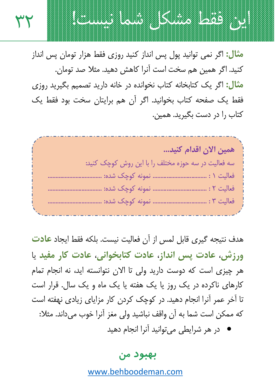ابن فقط مشكل شما نيست! ۳۲ **مثال:** اگر نمی توانید یول پس انداز کنید روزی فقط هزار تومان پس انداز کنید. اگر همین هم سخت است آنرا کاهش دهید. مثلا صد تومان. مثال: اگر یک کتابخانه کتاب نخوانده در خانه دارید تصمیم بگیرید روزی

فقط یک صفحه کتاب بخوانید. اگر آن هم برایتان سخت بود فقط یک کتاب را در دست بگیرید. همین.

همين الآن اقدام كنيد... سه فعالیت در سه حوزه مختلف را با این روش کوچک کنید: 

هدف نتيجه گيري قابل لمس از آن فعاليت نيست. بلكه فقط ايجاد **عادت** ورزش، عادت پس انداز، عادت کتابخوانی، عادت کار مفید یا هر چیزی است که دوست دارید ولی تا الان نتوانسته اید، نه انجام تمام کارهای ناکرده در یک روز یا یک هفته یا یک ماه و یک سال. قرار است تا آخر عمر آنرا انجام دهید. در کوچک کردن کار مزایای زیادی نهفته است كه ممكن است شما به آن واقف نباشيد ولي مغز آنرا خوب مي داند. مثلا:

در هر شرایطی میتوانید آنرا انجام دهید

#### بهبود من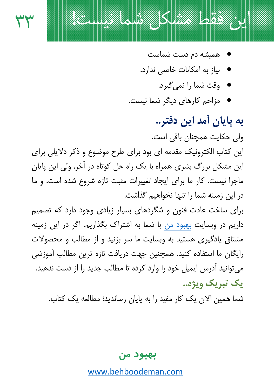

نیاز به امکانات خاصی ندارد.

این فقط مشکل شما نیست!

٣٣

- وقت شما را نمي گيرد.
- مزاحم کارهای دیگر شما نیست.

به پایان آمد این دفتر.. ولی حکایت همچنان باقی است. این کتاب الکترونیک مقدمه ای بود برای طرح موضوع و ذکر دلایلی برای این مشکل بزرگ بشری همراه با یک راه حل کوتاه در آخر. ولی این پایان ماجرا نیست. کار ما برای ایجاد تغییرات مثبت تازه شروع شده است. و ما در این زمینه شما را تنها نخواهیم گذاشت.

برای ساخت عادت فنون و شگردهای بسیار زیادی وجود دارد که تصمیم داریم در وبسایت بهبود من با شما به اشتراک بگذاریم. اگر در این زمینه مشتاق یادگیری هستید به وبسایت ما سر بزنید و از مطالب و محصولات رایگان ما استفاده کنید. همچنین جهت دریافت تازه ترین مطالب آموزشی می توانید آدرس ایمیل خود را وارد کرده تا مطالب جدید را از دست ندهید. یک تیریک ویژه..

شما همین الان یک کار مفید را به پایان رساندید؛ مطالعه یک کتاب.

بهبود من